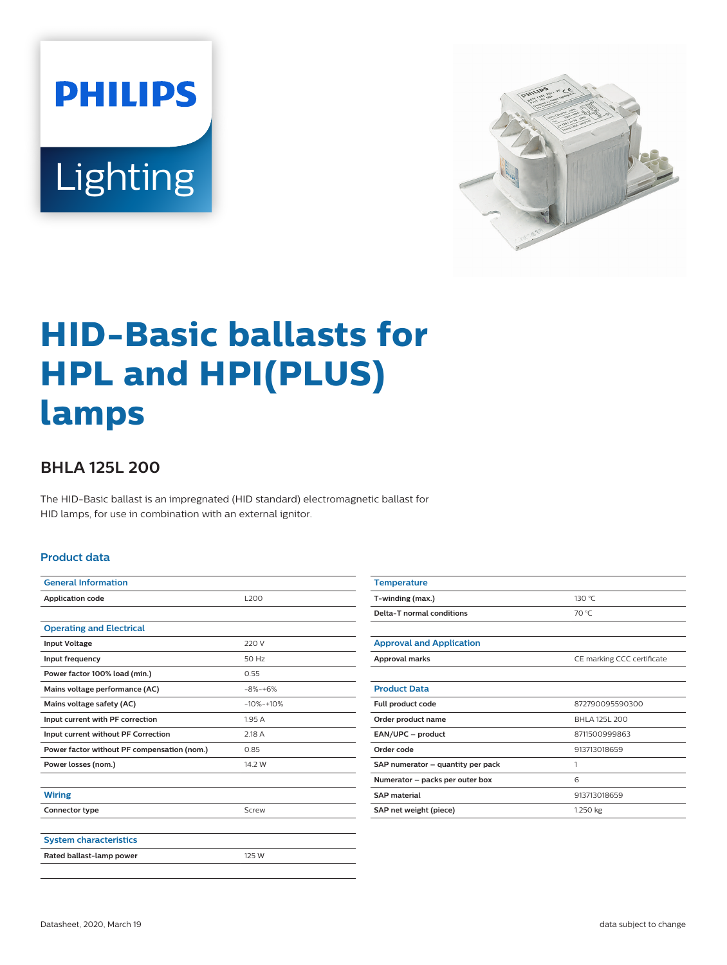



# **HID-Basic ballasts for HPL and HPI(PLUS) lamps**

## **BHLA 125L 200**

The HID-Basic ballast is an impregnated (HID standard) electromagnetic ballast for HID lamps, for use in combination with an external ignitor.

#### **Product data**

| <b>General Information</b>                  |             |
|---------------------------------------------|-------------|
|                                             |             |
| <b>Application code</b>                     | <b>L200</b> |
|                                             |             |
| <b>Operating and Electrical</b>             |             |
| <b>Input Voltage</b>                        | 220 V       |
| Input frequency                             | 50 Hz       |
| Power factor 100% load (min.)               | 0.55        |
| Mains voltage performance (AC)              | $-8% + 6%$  |
| Mains voltage safety (AC)                   | $-10% -10%$ |
| Input current with PF correction            | 1.95A       |
| Input current without PF Correction         | 2.18 A      |
| Power factor without PF compensation (nom.) | 0.85        |
| Power losses (nom.)                         | 14.2 W      |
|                                             |             |
| <b>Wiring</b>                               |             |
| Connector type                              | Screw       |
|                                             |             |
| <b>System characteristics</b>               |             |
| Rated ballast-lamp power                    | 125 W       |
|                                             |             |

| <b>Temperature</b>                |                            |
|-----------------------------------|----------------------------|
| T-winding (max.)                  | 130 °C                     |
| Delta-T normal conditions         | 70 °C                      |
|                                   |                            |
| <b>Approval and Application</b>   |                            |
| Approval marks                    | CE marking CCC certificate |
|                                   |                            |
| <b>Product Data</b>               |                            |
| Full product code                 | 872790095590300            |
| Order product name                | BHLA 125L 200              |
| EAN/UPC - product                 | 8711500999863              |
| Order code                        | 913713018659               |
| SAP numerator – quantity per pack | 1                          |
| Numerator - packs per outer box   | 6                          |
| <b>SAP</b> material               | 913713018659               |
| SAP net weight (piece)            | 1.250 kg                   |
|                                   |                            |